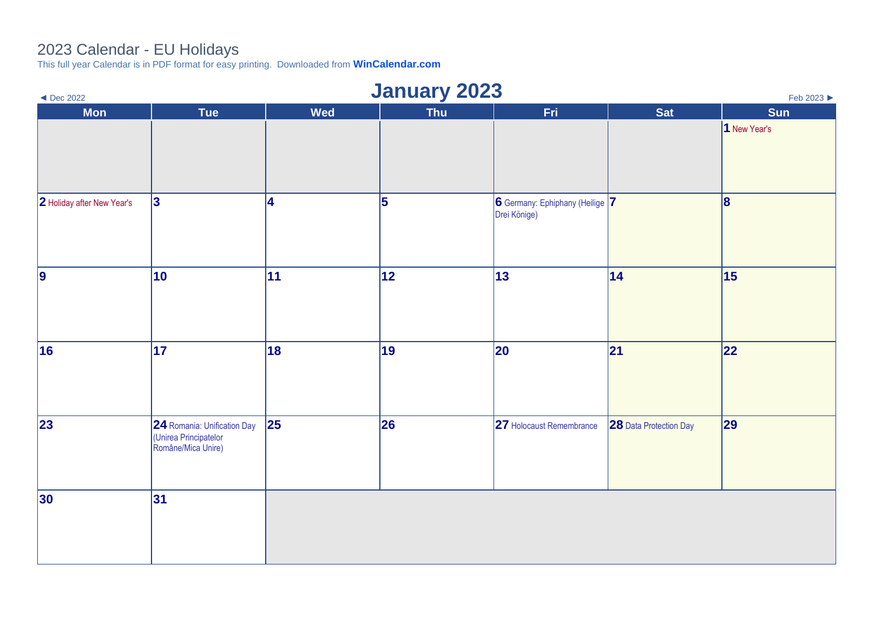## 2023 Calendar - EU Holidays

This full year Calendar is in PDF format for easy printing. Downloaded from **[WinCalendar.com](https://www.wincalendar.com/2023-Calendar-with-EU-Holidays)**

| <b>January 2023</b><br>$\triangleleft$ Dec 2022<br>Feb 2023 ▶ |                                                                            |            |            |                                                 |                               |              |  |  |
|---------------------------------------------------------------|----------------------------------------------------------------------------|------------|------------|-------------------------------------------------|-------------------------------|--------------|--|--|
| <b>Mon</b>                                                    | Tue                                                                        | <b>Wed</b> | <b>Thu</b> | Fri.                                            | <b>Sat</b>                    | Sun          |  |  |
|                                                               |                                                                            |            |            |                                                 |                               | 1 New Year's |  |  |
| 2 Holiday after New Year's                                    | 3                                                                          | 4          | 5          | 6 Germany: Ephiphany (Heilige 7<br>Drei Könige) |                               | 8            |  |  |
| $\vert$ 9                                                     | 10                                                                         | 11         | 12         | 13                                              | 14                            | 15           |  |  |
| 16                                                            | 17                                                                         | 18         | 19         | 20                                              | 21                            | 22           |  |  |
| 23                                                            | 24 Romania: Unification Day<br>(Unirea Principatelor<br>Române/Mica Unire) | 25         | 26         | 27 Holocaust Remembrance                        | <b>28</b> Data Protection Day | 29           |  |  |
| 30                                                            | 31                                                                         |            |            |                                                 |                               |              |  |  |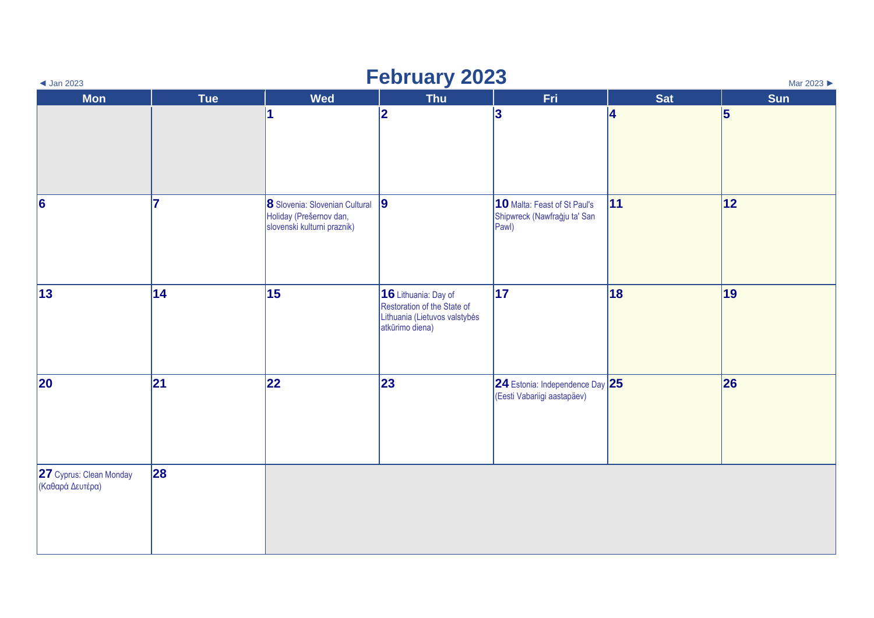| $\triangleleft$ Jan 2023                    | <b>February 2023</b><br>Mar 2023 |                                                                                            |                                                                                                         |                                                                       |            |                 |  |  |
|---------------------------------------------|----------------------------------|--------------------------------------------------------------------------------------------|---------------------------------------------------------------------------------------------------------|-----------------------------------------------------------------------|------------|-----------------|--|--|
| <b>Mon</b>                                  | <b>Tue</b>                       | <b>Wed</b>                                                                                 | <b>Thu</b>                                                                                              | Fri                                                                   | <b>Sat</b> | <b>Sun</b>      |  |  |
|                                             |                                  |                                                                                            | 2                                                                                                       | $\bf{3}$                                                              | 4          | $\vert 5 \vert$ |  |  |
| $\vert 6 \vert$                             | 17                               | 8 Slovenia: Slovenian Cultural 9<br>Holiday (Prešernov dan,<br>slovenski kulturni praznik) |                                                                                                         | 10 Malta: Feast of St Paul's<br>Shipwreck (Nawfraġju ta' San<br>Pawl) | 11         | 12              |  |  |
| $ 13\rangle$                                | 14                               | 15                                                                                         | 16 Lithuania: Day of<br>Restoration of the State of<br>Lithuania (Lietuvos valstybės<br>atkūrimo diena) | 17                                                                    | 18         | 19              |  |  |
| 20                                          | 21                               | 22                                                                                         | 23                                                                                                      | 24 Estonia: Independence Day $25$<br>(Eesti Vabariigi aastapäev)      |            | 26              |  |  |
| 27 Cyprus: Clean Monday<br>(Καθαρά Δευτέρα) | 28                               |                                                                                            |                                                                                                         |                                                                       |            |                 |  |  |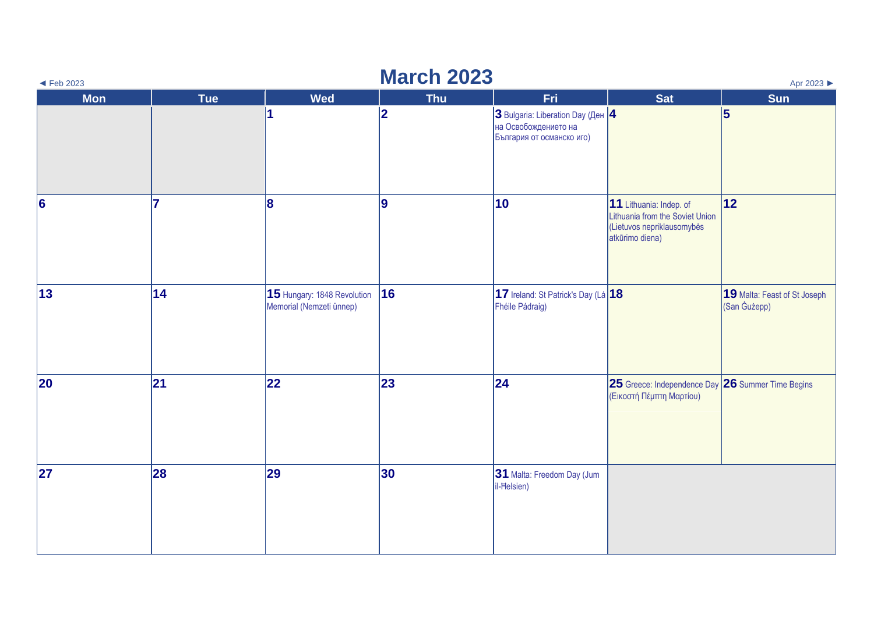| $\blacktriangleleft$ Feb 2023 | <b>March 2023</b><br>Apr 2023 |                                                         |            |                                                                                               |                                                                                                             |                                              |  |  |  |
|-------------------------------|-------------------------------|---------------------------------------------------------|------------|-----------------------------------------------------------------------------------------------|-------------------------------------------------------------------------------------------------------------|----------------------------------------------|--|--|--|
| <b>Mon</b>                    | <b>Tue</b>                    | <b>Wed</b>                                              | <b>Thu</b> | Fri                                                                                           | <b>Sat</b>                                                                                                  | Sun                                          |  |  |  |
|                               |                               |                                                         | 2          | $ 3$ Bulgaria: Liberation Day (Ден $ 4 $<br>на Освобождението на<br>България от османско иго) |                                                                                                             | 5                                            |  |  |  |
| $\vert 6 \vert$               | 17                            | 8                                                       | 9          | 10                                                                                            | 11 Lithuania: Indep. of<br>Lithuania from the Soviet Union<br>(Lietuvos nepriklausomybės<br>atkūrimo diena) | 12                                           |  |  |  |
| 13                            | 14                            | 15 Hungary: 1848 Revolution<br>Memorial (Nemzeti ünnep) | 16         | 17 Ireland: St Patrick's Day (Lá 18<br>Fhéile Pádraig)                                        |                                                                                                             | 19 Malta: Feast of St Joseph<br>(San Gużepp) |  |  |  |
| 20                            | 21                            | 22                                                      | 23         | 24                                                                                            | 25 Greece: Independence Day 26 Summer Time Begins<br>(Εικοστή Πέμπτη Μαρτίου)                               |                                              |  |  |  |
| 27                            | 28                            | 29                                                      | 30         | 31 Malta: Freedom Day (Jum<br>il-Helsien)                                                     |                                                                                                             |                                              |  |  |  |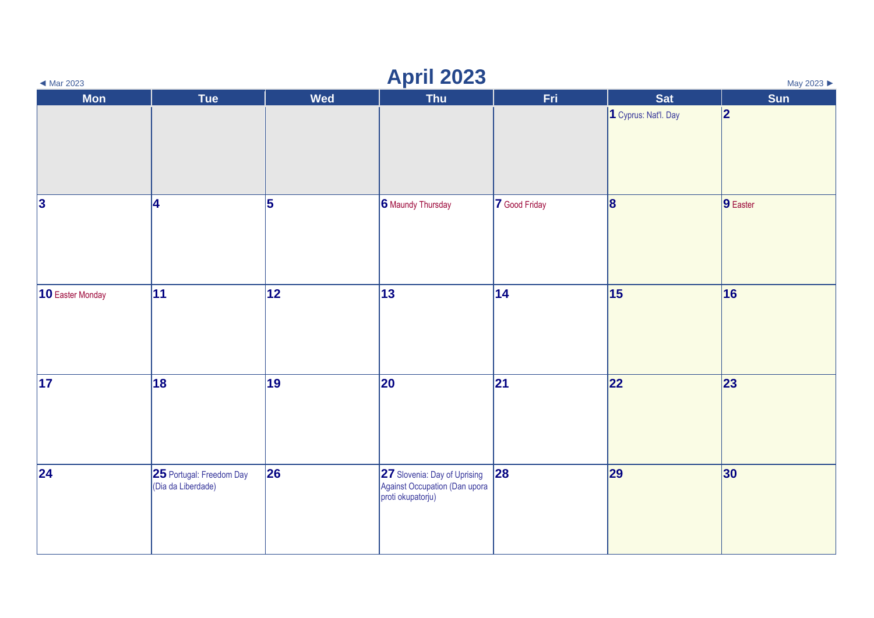| $\blacktriangleleft$ Mar 2023 | <b>April 2023</b><br>May 2023                  |            |                                                                                    |               |                         |                  |  |  |  |
|-------------------------------|------------------------------------------------|------------|------------------------------------------------------------------------------------|---------------|-------------------------|------------------|--|--|--|
| <b>Mon</b>                    | Tue                                            | <b>Wed</b> | <b>Thu</b>                                                                         | <b>Fri</b>    | <b>Sat</b>              | <b>Sun</b>       |  |  |  |
|                               |                                                |            |                                                                                    |               | 1 Cyprus: Nat'l. Day    | 2                |  |  |  |
| 3                             | 4                                              | 5          | 6 Maundy Thursday                                                                  | 7 Good Friday | $\overline{\mathbf{8}}$ | $\vert$ 9 Easter |  |  |  |
| 10 Easter Monday              | 11                                             | 12         | 13                                                                                 | 14            | 15                      | 16               |  |  |  |
| 17                            | 18                                             | 19         | 20                                                                                 | 21            | 22                      | 23               |  |  |  |
| 24                            | 25 Portugal: Freedom Day<br>(Dia da Liberdade) | 26         | 27 Slovenia: Day of Uprising<br>Against Occupation (Dan upora<br>proti okupatorju) | 28            | 29                      | 30               |  |  |  |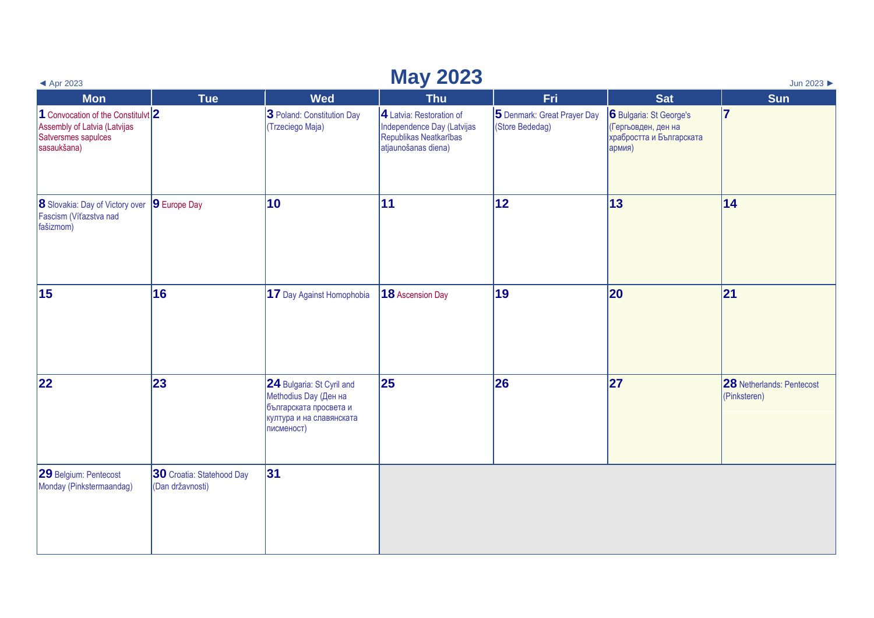| ◀ Apr 2023                                                                                                 | <b>May 2023</b><br>Jun 2023                   |                                                                                                                        |                                                                                                         |                                                |                                                                                      |                                           |  |  |  |
|------------------------------------------------------------------------------------------------------------|-----------------------------------------------|------------------------------------------------------------------------------------------------------------------------|---------------------------------------------------------------------------------------------------------|------------------------------------------------|--------------------------------------------------------------------------------------|-------------------------------------------|--|--|--|
| <b>Mon</b>                                                                                                 | <b>Tue</b>                                    | <b>Wed</b>                                                                                                             | <b>Thu</b>                                                                                              | Fri.                                           | <b>Sat</b>                                                                           | <b>Sun</b>                                |  |  |  |
| 1 Convocation of the Constitulvt $2$<br>Assembly of Latvia (Latvijas<br>Satversmes sapulces<br>sasaukšana) |                                               | 3 Poland: Constitution Day<br>(Trzeciego Maja)                                                                         | 4 Latvia: Restoration of<br>Independence Day (Latvijas<br>Republikas Neatkarības<br>atjaunošanas diena) | 5 Denmark: Great Prayer Day<br>(Store Bededag) | 6 Bulgaria: St George's<br>(Гергьовден, ден на<br>храбростта и Българската<br>армия) | 17                                        |  |  |  |
| <b>8</b> Slovakia: Day of Victory over<br>Fascism (Víťazstva nad<br>fašizmom)                              | 9 Europe Day                                  | 10                                                                                                                     | $ 11\rangle$                                                                                            | 12                                             | 13                                                                                   | 14                                        |  |  |  |
| 15                                                                                                         | 16                                            | 17 Day Against Homophobia                                                                                              | 18 Ascension Day                                                                                        | 19                                             | 20                                                                                   | 21                                        |  |  |  |
| 22                                                                                                         | 23                                            | 24 Bulgaria: St Cyril and<br>Methodius Day (Ден на<br>българската просвета и<br>култура и на славянската<br>писменост) | 25                                                                                                      | 26                                             | 27                                                                                   | 28 Netherlands: Pentecost<br>(Pinksteren) |  |  |  |
| 29 Belgium: Pentecost<br>Monday (Pinkstermaandag)                                                          | 30 Croatia: Statehood Day<br>(Dan državnosti) | 31                                                                                                                     |                                                                                                         |                                                |                                                                                      |                                           |  |  |  |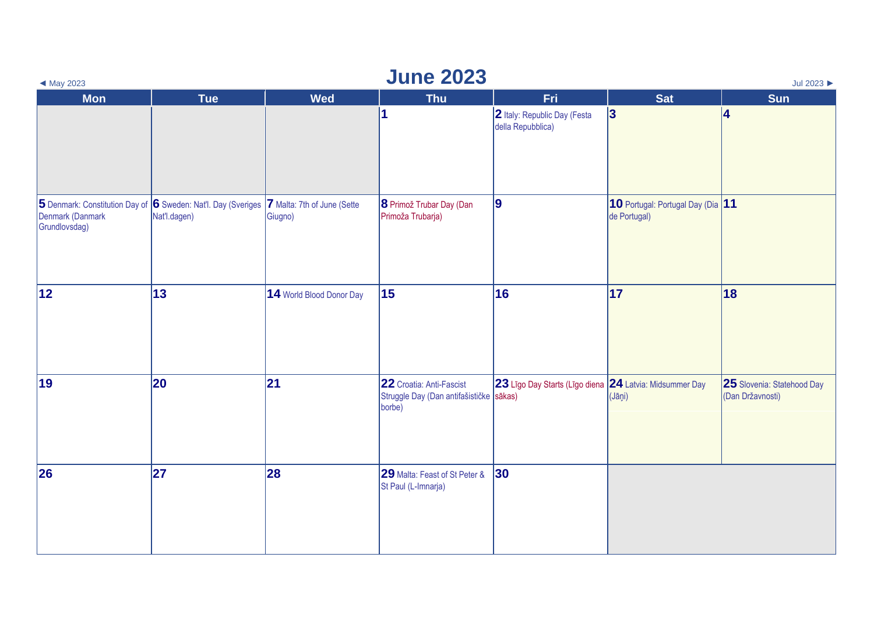| <b>June 2023</b><br>Jul 2023<br>$\blacktriangleleft$ May 2023 |                                                                               |                                        |                                                                               |                                                         |                                                   |                                                |  |  |
|---------------------------------------------------------------|-------------------------------------------------------------------------------|----------------------------------------|-------------------------------------------------------------------------------|---------------------------------------------------------|---------------------------------------------------|------------------------------------------------|--|--|
| <b>Mon</b>                                                    | <b>Tue</b>                                                                    | <b>Wed</b>                             | <b>Thu</b>                                                                    | Fri                                                     | <b>Sat</b>                                        | <b>Sun</b>                                     |  |  |
|                                                               |                                                                               |                                        | 1                                                                             | 2 Italy: Republic Day (Festa<br>della Repubblica)       | 3                                                 | 4                                              |  |  |
| Denmark (Danmark<br>Grundlovsdag)                             | 5 Denmark: Constitution Day of 6 Sweden: Nat'l. Day (Sveriges<br>Nat'l.dagen) | 7 Malta: 7th of June (Sette<br>Giugno) | 8 Primož Trubar Day (Dan<br>Primoža Trubarja)                                 | 9                                                       | 10 Portugal: Portugal Day (Dia 11<br>de Portugal) |                                                |  |  |
| 12                                                            | 13                                                                            | 14 World Blood Donor Day               | 15                                                                            | 16                                                      | 17                                                | 18                                             |  |  |
| 19                                                            | 20                                                                            | 21                                     | 22 Croatia: Anti-Fascist<br>Struggle Day (Dan antifašističke sākas)<br>borbe) | 23 Līgo Day Starts (Līgo diena 24 Latvia: Midsummer Day | (Jāņi)                                            | 25 Slovenia: Statehood Day<br>(Dan Državnosti) |  |  |
| 26                                                            | 27                                                                            | 28                                     | 29 Malta: Feast of St Peter &<br>St Paul (L-Imnarja)                          | 30                                                      |                                                   |                                                |  |  |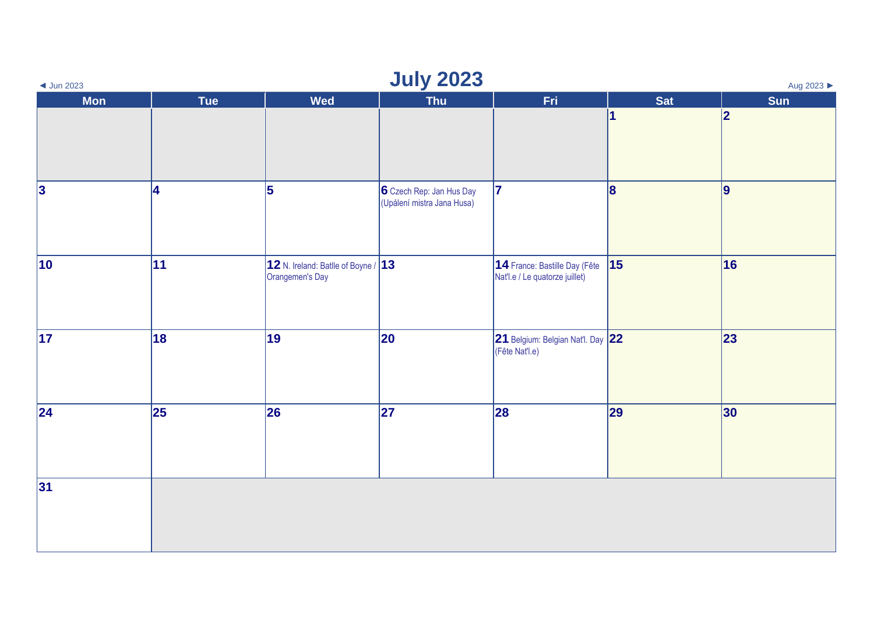| <b>July 2023</b><br>$\triangleleft$ Jun 2023<br>Aug 2023 |            |                                                        |                                                        |                                                                 |            |     |  |  |
|----------------------------------------------------------|------------|--------------------------------------------------------|--------------------------------------------------------|-----------------------------------------------------------------|------------|-----|--|--|
| <b>Mon</b>                                               | <b>Tue</b> | Wed                                                    | <b>Thu</b>                                             | Fri                                                             | <b>Sat</b> | Sun |  |  |
|                                                          |            |                                                        |                                                        |                                                                 | И          | 2   |  |  |
| $\vert$ 3                                                | 14         | 5                                                      | 6 Czech Rep: Jan Hus Day<br>(Upálení mistra Jana Husa) | $\overline{7}$                                                  | 8          | 9   |  |  |
| $ 10\rangle$                                             | 11         | 12 N. Ireland: Batlle of Boyne / 13<br>Orangemen's Day |                                                        | 14 France: Bastille Day (Fête<br>Nat'l.e / Le quatorze juillet) | 15         | 16  |  |  |
| $\vert$ 17                                               | 18         | 19                                                     | 20                                                     | 21 Belgium: Belgian Nat'l. Day 22<br>(Fête Nat'l.e)             |            | 23  |  |  |
| 24                                                       | 25         | 26                                                     | 27                                                     | 28                                                              | 29         | 30  |  |  |
| 31                                                       |            |                                                        |                                                        |                                                                 |            |     |  |  |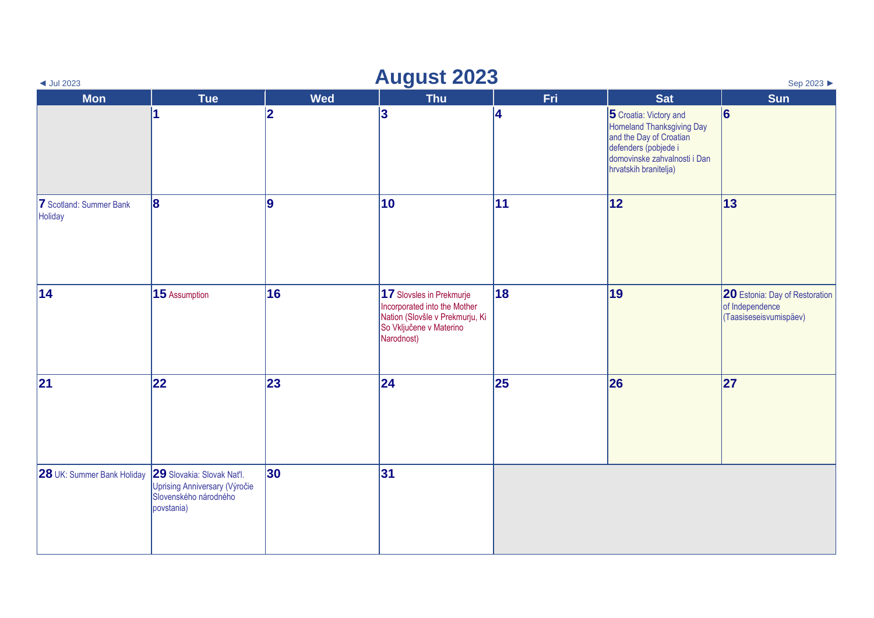| <b>August 2023</b><br>Sep 2023 ▶<br>$\triangleleft$ Jul 2023 |                                                                                                    |                         |                                                                                                                                      |     |                                                                                                                                                                        |                                                                             |  |
|--------------------------------------------------------------|----------------------------------------------------------------------------------------------------|-------------------------|--------------------------------------------------------------------------------------------------------------------------------------|-----|------------------------------------------------------------------------------------------------------------------------------------------------------------------------|-----------------------------------------------------------------------------|--|
| <b>Mon</b>                                                   | <b>Tue</b>                                                                                         | <b>Wed</b>              | <b>Thu</b>                                                                                                                           | Fri | <b>Sat</b>                                                                                                                                                             | <b>Sun</b>                                                                  |  |
|                                                              | 1                                                                                                  | $\overline{\mathbf{2}}$ | 3                                                                                                                                    | 4   | 5 Croatia: Victory and<br><b>Homeland Thanksgiving Day</b><br>and the Day of Croatian<br>defenders (pobjede i<br>domovinske zahvalnosti i Dan<br>hrvatskih branitelja) | 6                                                                           |  |
| 7 Scotland: Summer Bank<br>Holiday                           | 8                                                                                                  | <u>g</u>                | $ 10\rangle$                                                                                                                         | 11  | 12                                                                                                                                                                     | 13                                                                          |  |
| 14                                                           | 15 Assumption                                                                                      | 16                      | 17 Slovsles in Prekmurje<br>Incorporated into the Mother<br>Nation (Slovšle v Prekmurju, Ki<br>So Vključene v Materino<br>Narodnost) | 18  | 19                                                                                                                                                                     | 20 Estonia: Day of Restoration<br>of Independence<br>(Taasiseseisvumispäev) |  |
| 21                                                           | 22                                                                                                 | 23                      | 24                                                                                                                                   | 25  | 26                                                                                                                                                                     | 27                                                                          |  |
| <b>28</b> UK: Summer Bank Holiday                            | 29 Slovakia: Slovak Nat'l.<br>Uprising Anniversary (Výročie<br>Slovenského národného<br>povstania) | 30                      | 31                                                                                                                                   |     |                                                                                                                                                                        |                                                                             |  |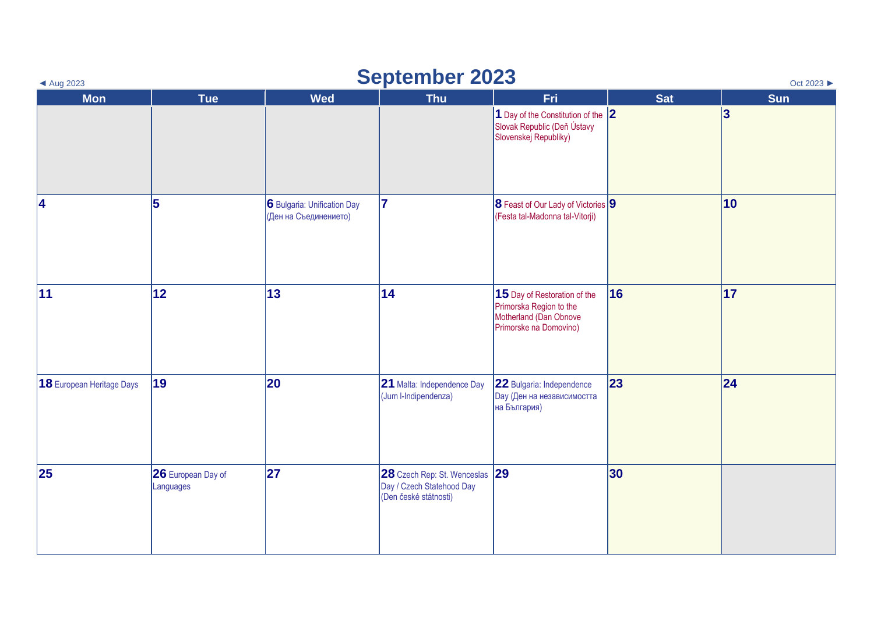| <b>September 2023</b><br>Oct 2023 ▶<br>$\triangleleft$ Aug 2023 |                                 |                                                      |                                                                                   |                                                                                                             |            |              |  |  |
|-----------------------------------------------------------------|---------------------------------|------------------------------------------------------|-----------------------------------------------------------------------------------|-------------------------------------------------------------------------------------------------------------|------------|--------------|--|--|
| <b>Mon</b>                                                      | <b>Tue</b>                      | <b>Wed</b>                                           | <b>Thu</b>                                                                        | <b>Fri</b>                                                                                                  | <b>Sat</b> | Sun          |  |  |
|                                                                 |                                 |                                                      |                                                                                   | 1 Day of the Constitution of the 2<br>Slovak Republic (Deň Ústavy<br>Slovenskej Republiky)                  |            | 3            |  |  |
| 4                                                               | 5                               | 6 Bulgaria: Unification Day<br>(Ден на Съединението) | 17                                                                                | $ 8$ Feast of Our Lady of Victories $ 9 $<br>(Festa tal-Madonna tal-Vitorji)                                |            | $ 10\rangle$ |  |  |
| 11                                                              | 12                              | 13                                                   | 14                                                                                | 15 Day of Restoration of the<br>Primorska Region to the<br>Motherland (Dan Obnove<br>Primorske na Domovino) | 16         | 17           |  |  |
| 18 European Heritage Days                                       | 19                              | 20                                                   | 21 Malta: Independence Day<br>(Jum I-Indipendenza)                                | 22 Bulgaria: Independence<br><b>Day (Ден на независимостта</b><br>на България)                              | 23         | 24           |  |  |
| 25                                                              | 26 European Day of<br>Languages | 27                                                   | 28 Czech Rep: St. Wenceslas<br>Day / Czech Statehood Day<br>(Den české státnosti) | 29                                                                                                          | 30         |              |  |  |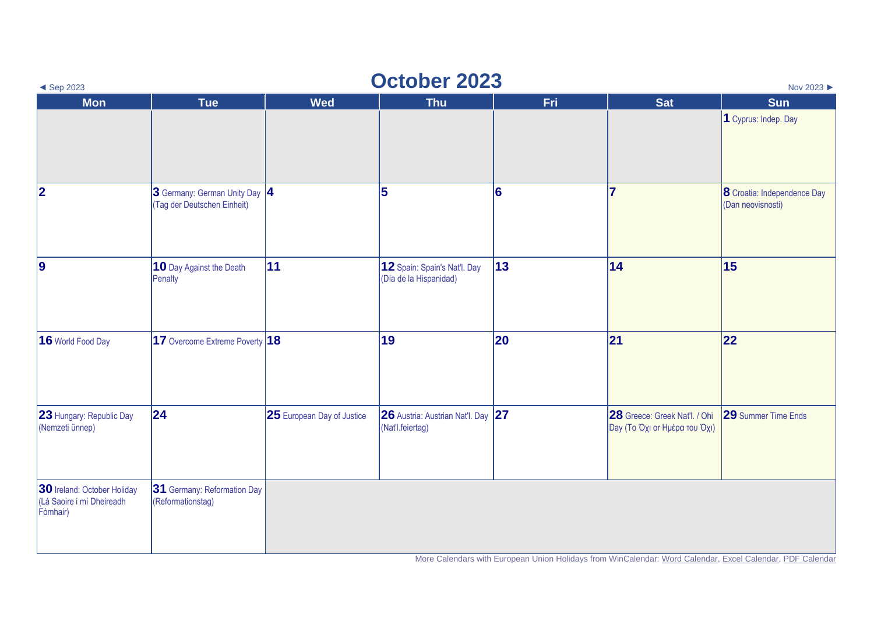| <b>October 2023</b><br>Nov 2023 ▶<br>$\triangleleft$ Sep 2023        |                                                               |                            |                                                        |            |                                                                |                                                         |  |  |
|----------------------------------------------------------------------|---------------------------------------------------------------|----------------------------|--------------------------------------------------------|------------|----------------------------------------------------------------|---------------------------------------------------------|--|--|
| <b>Mon</b>                                                           | <b>Tue</b>                                                    | <b>Wed</b>                 | <b>Thu</b>                                             | <b>Fri</b> | <b>Sat</b>                                                     | <b>Sun</b>                                              |  |  |
|                                                                      |                                                               |                            |                                                        |            |                                                                | 1 Cyprus: Indep. Day                                    |  |  |
| $ 2\rangle$                                                          | 3 Germany: German Unity Day  4<br>(Tag der Deutschen Einheit) |                            | 5                                                      | 6          | $\overline{7}$                                                 | <b>8</b> Croatia: Independence Day<br>(Dan neovisnosti) |  |  |
| 9                                                                    | 10 Day Against the Death<br>Penalty                           | 11                         | 12 Spain: Spain's Nat'l. Day<br>(Día de la Hispanidad) | 13         | 14                                                             | 15                                                      |  |  |
| 16 World Food Day                                                    | 17 Overcome Extreme Poverty 18                                |                            | 19                                                     | 20         | 21                                                             | 22                                                      |  |  |
| 23 Hungary: Republic Day<br>(Nemzeti ünnep)                          | $ 24\rangle$                                                  | 25 European Day of Justice | 26 Austria: Austrian Nat'l. Day 27<br>(Nat'l.feiertag) |            | 28 Greece: Greek Nat'l. / Ohi<br>Day (Το Όχι or Ημέρα του Όχι) | <b>29</b> Summer Time Ends                              |  |  |
| 30 Ireland: October Holiday<br>(Lá Saoire i mí Dheireadh<br>Fómhair) | 31 Germany: Reformation Day<br>(Reformationstag)              |                            |                                                        |            |                                                                |                                                         |  |  |

More Calendars with European Union Holidays from WinCalendar[: Word Calendar,](https://www.wincalendar.com/2023-Calendar-with-EU-Holidays) [Excel Calendar,](https://www.wincalendar.com/2023-Calendar-EU-Holidays-Excel) [PDF Calendar](https://www.wincalendar.com/2023-Calendar-EU-Holidays-PDF)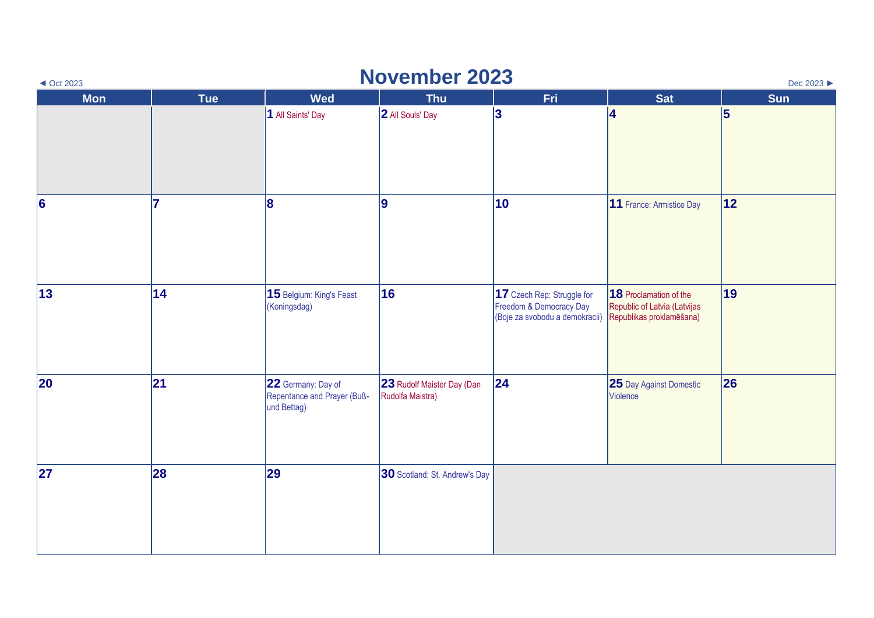| <b>November 2023</b><br>$\triangleleft$ Oct 2023<br>Dec 2023 ▶ |            |                                                                  |                                                |                                                                                         |                                                                                    |            |  |  |
|----------------------------------------------------------------|------------|------------------------------------------------------------------|------------------------------------------------|-----------------------------------------------------------------------------------------|------------------------------------------------------------------------------------|------------|--|--|
| <b>Mon</b>                                                     | <b>Tue</b> | <b>Wed</b>                                                       | <b>Thu</b>                                     | Fri                                                                                     | <b>Sat</b>                                                                         | <b>Sun</b> |  |  |
|                                                                |            | 1 All Saints' Day                                                | 2 All Souls' Day                               | 3                                                                                       | 14                                                                                 | 5          |  |  |
| $\vert 6 \vert$                                                | 17         | 8                                                                | 9                                              | 10                                                                                      | 11 France: Armistice Day                                                           | 12         |  |  |
| 13                                                             | 14         | 15 Belgium: King's Feast<br>(Koningsdag)                         | 16                                             | 17 Czech Rep: Struggle for<br>Freedom & Democracy Day<br>(Boje za svobodu a demokracii) | 18 Proclamation of the<br>Republic of Latvia (Latvijas<br>Republikas proklamēšana) | 19         |  |  |
| 20                                                             | 21         | 22 Germany: Day of<br>Repentance and Prayer (Buß-<br>und Bettag) | 23 Rudolf Maister Day (Dan<br>Rudolfa Maistra) | 24                                                                                      | 25 Day Against Domestic<br>Violence                                                | 26         |  |  |
| 27                                                             | 28         | 29                                                               | 30 Scotland: St. Andrew's Day                  |                                                                                         |                                                                                    |            |  |  |